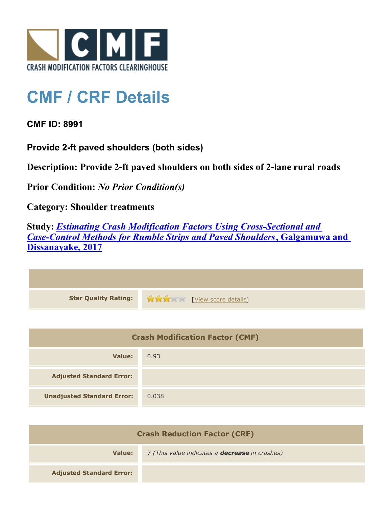

## **CMF / CRF Details**

**CMF ID: 8991**

**Provide 2-ft paved shoulders (both sides)**

**Description: Provide 2-ft paved shoulders on both sides of 2-lane rural roads**

**Prior Condition:** *No Prior Condition(s)*

**Category: Shoulder treatments**

**Study:** *[Estimating Crash Modification Factors Using Cross-Sectional and](http://www.cmfclearinghouse.org/study_detail.cfm?stid=480) [Case-Control Methods for Rumble Strips and Paved Shoulders](http://www.cmfclearinghouse.org/study_detail.cfm?stid=480)***[, Galgamuwa and](http://www.cmfclearinghouse.org/study_detail.cfm?stid=480) [Dissanayake, 2017](http://www.cmfclearinghouse.org/study_detail.cfm?stid=480)**

| Star Quality Rating: 1999 [View score details] |
|------------------------------------------------|

| <b>Crash Modification Factor (CMF)</b> |       |
|----------------------------------------|-------|
| Value:                                 | 0.93  |
| <b>Adjusted Standard Error:</b>        |       |
| <b>Unadjusted Standard Error:</b>      | 0.038 |

| <b>Crash Reduction Factor (CRF)</b> |                                                       |
|-------------------------------------|-------------------------------------------------------|
| Value:                              | 7 (This value indicates a <b>decrease</b> in crashes) |
| <b>Adjusted Standard Error:</b>     |                                                       |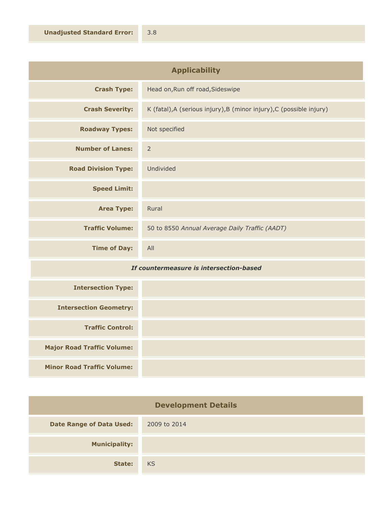| <b>Applicability</b>       |                                                                      |
|----------------------------|----------------------------------------------------------------------|
| <b>Crash Type:</b>         | Head on, Run off road, Sideswipe                                     |
| <b>Crash Severity:</b>     | K (fatal), A (serious injury), B (minor injury), C (possible injury) |
| <b>Roadway Types:</b>      | Not specified                                                        |
| <b>Number of Lanes:</b>    | $\overline{2}$                                                       |
| <b>Road Division Type:</b> | Undivided                                                            |
| <b>Speed Limit:</b>        |                                                                      |
| <b>Area Type:</b>          | Rural                                                                |
| <b>Traffic Volume:</b>     | 50 to 8550 Annual Average Daily Traffic (AADT)                       |
| <b>Time of Day:</b>        | All                                                                  |

## *If countermeasure is intersection-based*

| <b>Intersection Type:</b>         |  |
|-----------------------------------|--|
| <b>Intersection Geometry:</b>     |  |
| <b>Traffic Control:</b>           |  |
| <b>Major Road Traffic Volume:</b> |  |
| <b>Minor Road Traffic Volume:</b> |  |

| <b>Development Details</b>      |              |
|---------------------------------|--------------|
| <b>Date Range of Data Used:</b> | 2009 to 2014 |
| <b>Municipality:</b>            |              |
| State:                          | <b>KS</b>    |